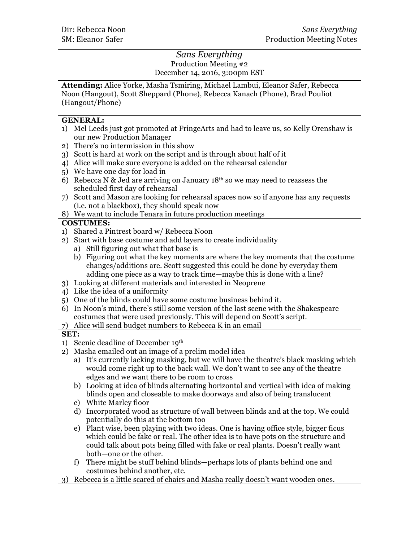# *Sans Everything* Production Meeting #2 December 14, 2016, 3:00pm EST

**Attending:** Alice Yorke, Masha Tsmiring, Michael Lambui, Eleanor Safer, Rebecca Noon (Hangout), Scott Sheppard (Phone), Rebecca Kanach (Phone), Brad Pouliot (Hangout/Phone)

# **GENERAL:**

- 1) Mel Leeds just got promoted at FringeArts and had to leave us, so Kelly Orenshaw is our new Production Manager
- 2) There's no intermission in this show
- 3) Scott is hard at work on the script and is through about half of it
- 4) Alice will make sure everyone is added on the rehearsal calendar
- 5) We have one day for load in
- 6) Rebecca N & Jed are arriving on January  $18<sup>th</sup>$  so we may need to reassess the scheduled first day of rehearsal
- 7) Scott and Mason are looking for rehearsal spaces now so if anyone has any requests (i.e. not a blackbox), they should speak now
- 8) We want to include Tenara in future production meetings

# **COSTUMES:**

- 1) Shared a Pintrest board w/ Rebecca Noon
- 2) Start with base costume and add layers to create individuality
	- a) Still figuring out what that base is
	- b) Figuring out what the key moments are where the key moments that the costume changes/additions are. Scott suggested this could be done by everyday them adding one piece as a way to track time—maybe this is done with a line?
- 3) Looking at different materials and interested in Neoprene
- 4) Like the idea of a uniformity
- 5) One of the blinds could have some costume business behind it.
- 6) In Noon's mind, there's still some version of the last scene with the Shakespeare costumes that were used previously. This will depend on Scott's script.
- 7) Alice will send budget numbers to Rebecca K in an email

# **SET:**

- 1) Scenic deadline of December 19th
- 2) Masha emailed out an image of a prelim model idea
	- a) It's currently lacking masking, but we will have the theatre's black masking which would come right up to the back wall. We don't want to see any of the theatre edges and we want there to be room to cross
	- b) Looking at idea of blinds alternating horizontal and vertical with idea of making blinds open and closeable to make doorways and also of being translucent
	- c) White Marley floor
	- d) Incorporated wood as structure of wall between blinds and at the top. We could potentially do this at the bottom too
	- e) Plant wise, been playing with two ideas. One is having office style, bigger ficus which could be fake or real. The other idea is to have pots on the structure and could talk about pots being filled with fake or real plants. Doesn't really want both—one or the other.
	- f) There might be stuff behind blinds—perhaps lots of plants behind one and costumes behind another, etc.
- 3) Rebecca is a little scared of chairs and Masha really doesn't want wooden ones.